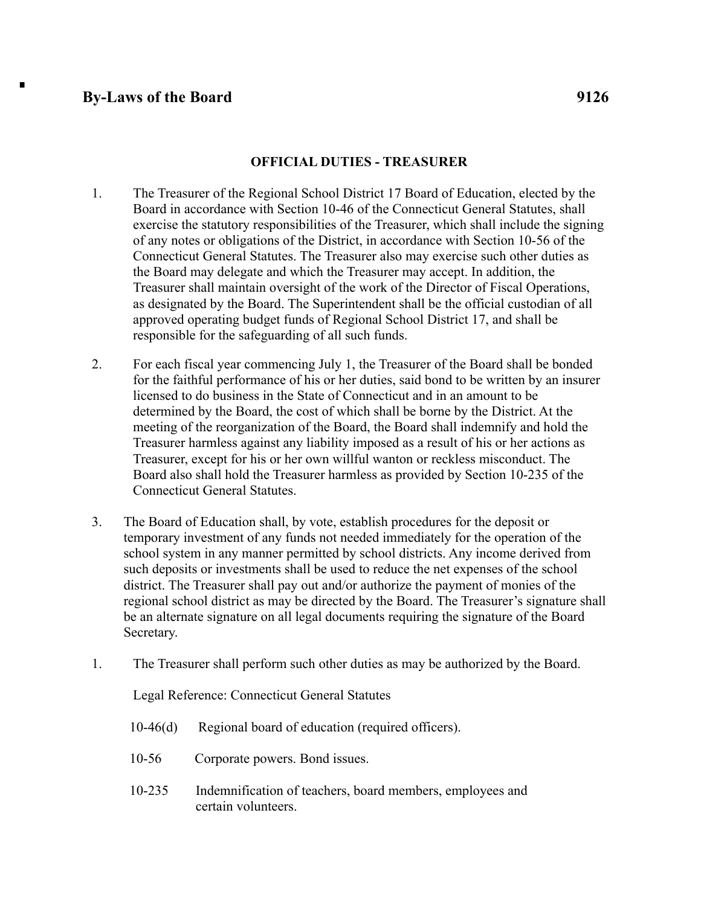## **By-Laws of the Board 9126**

 $\blacksquare$ 

## **OFFICIAL DUTIES - TREASURER**

- 1. The Treasurer of the Regional School District 17 Board of Education, elected by the Board in accordance with Section 10-46 of the Connecticut General Statutes, shall exercise the statutory responsibilities of the Treasurer, which shall include the signing of any notes or obligations of the District, in accordance with Section 10-56 of the Connecticut General Statutes. The Treasurer also may exercise such other duties as the Board may delegate and which the Treasurer may accept. In addition, the Treasurer shall maintain oversight of the work of the Director of Fiscal Operations, as designated by the Board. The Superintendent shall be the official custodian of all approved operating budget funds of Regional School District 17, and shall be responsible for the safeguarding of all such funds.
- 2. For each fiscal year commencing July 1, the Treasurer of the Board shall be bonded for the faithful performance of his or her duties, said bond to be written by an insurer licensed to do business in the State of Connecticut and in an amount to be determined by the Board, the cost of which shall be borne by the District. At the meeting of the reorganization of the Board, the Board shall indemnify and hold the Treasurer harmless against any liability imposed as a result of his or her actions as Treasurer, except for his or her own willful wanton or reckless misconduct. The Board also shall hold the Treasurer harmless as provided by Section 10-235 of the Connecticut General Statutes.
- 3. The Board of Education shall, by vote, establish procedures for the deposit or temporary investment of any funds not needed immediately for the operation of the school system in any manner permitted by school districts. Any income derived from such deposits or investments shall be used to reduce the net expenses of the school district. The Treasurer shall pay out and/or authorize the payment of monies of the regional school district as may be directed by the Board. The Treasurer's signature shall be an alternate signature on all legal documents requiring the signature of the Board Secretary.
- 1. The Treasurer shall perform such other duties as may be authorized by the Board.

Legal Reference: Connecticut General Statutes

- 10-46(d) Regional board of education (required officers).
- 10-56 Corporate powers. Bond issues.
- 10-235 Indemnification of teachers, board members, employees and certain volunteers.